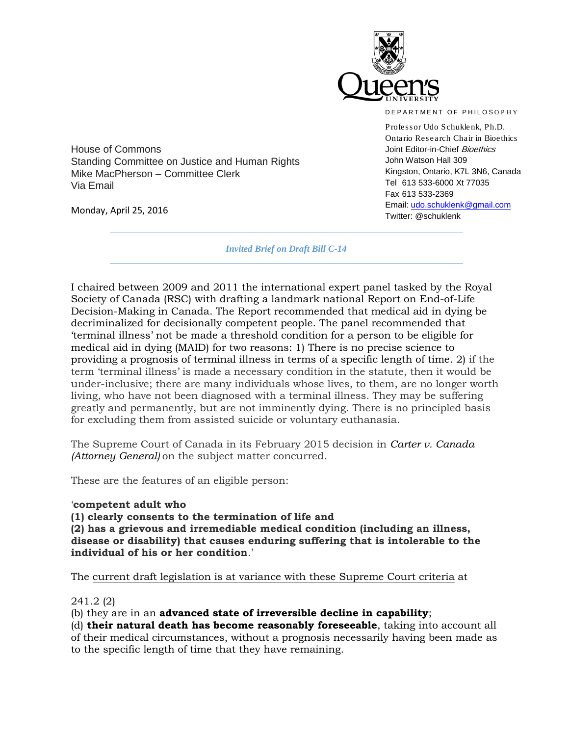

DEPARTMENT OF PHILOSOPHY

Professor Udo Schuklenk, Ph.D. Ontario Research Chair in Bioethics Joint Editor-in-Chief Bioethics John Watson Hall 309 Kingston, Ontario, K7L 3N6, Canada Tel 613 533-6000 Xt 77035 Fax 613 533-2369 Email: [udo.schuklenk@gmail.com](mailto:udo.schuklenk@gmail.com) Twitter: @schuklenk

House of Commons Standing Committee on Justice and Human Rights Mike MacPherson – Committee Clerk Via Email

Monday, April 25, 2016

*Invited Brief on Draft Bill C-14*

I chaired between 2009 and 2011 the international expert panel tasked by the Royal Society of Canada (RSC) with drafting a landmark national Report on End-of-Life Decision-Making in Canada. The Report recommended that medical aid in dying be decriminalized for decisionally competent people. The panel recommended that 'terminal illness' not be made a threshold condition for a person to be eligible for medical aid in dying (MAID) for two reasons: 1) There is no precise science to providing a prognosis of terminal illness in terms of a specific length of time. 2) if the term 'terminal illness' is made a necessary condition in the statute, then it would be under-inclusive; there are many individuals whose lives, to them, are no longer worth living, who have not been diagnosed with a terminal illness. They may be suffering greatly and permanently, but are not imminently dying. There is no principled basis for excluding them from assisted suicide or voluntary euthanasia.

The Supreme Court of Canada in its February 2015 decision in *Carter v. Canada (Attorney General)* on the subject matter concurred.

These are the features of an eligible person:

## '**competent adult who**

**(1) clearly consents to the termination of life and** 

**(2) has a grievous and irremediable medical condition (including an illness, disease or disability) that causes enduring suffering that is intolerable to the individual of his or her condition**.'

The current draft legislation is at variance with these Supreme Court criteria at

## 241.2 (2)

(b) they are in an **advanced state of irreversible decline in capability**;

(d) **their natural death has become reasonably foreseeable**, taking into account all of their medical circumstances, without a prognosis necessarily having been made as to the specific length of time that they have remaining.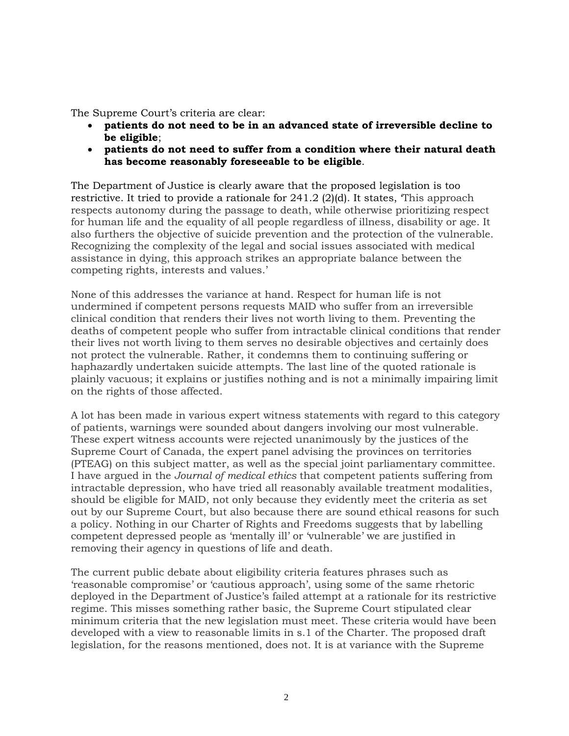The Supreme Court's criteria are clear:

- **patients do not need to be in an advanced state of irreversible decline to be eligible**;
- **patients do not need to suffer from a condition where their natural death has become reasonably foreseeable to be eligible**.

The Department of Justice is clearly aware that the proposed legislation is too restrictive. It tried to provide a rationale for 241.2 (2)(d). It states, 'This approach respects autonomy during the passage to death, while otherwise prioritizing respect for human life and the equality of all people regardless of illness, disability or age. It also furthers the objective of suicide prevention and the protection of the vulnerable. Recognizing the complexity of the legal and social issues associated with medical assistance in dying, this approach strikes an appropriate balance between the competing rights, interests and values.'

None of this addresses the variance at hand. Respect for human life is not undermined if competent persons requests MAID who suffer from an irreversible clinical condition that renders their lives not worth living to them. Preventing the deaths of competent people who suffer from intractable clinical conditions that render their lives not worth living to them serves no desirable objectives and certainly does not protect the vulnerable. Rather, it condemns them to continuing suffering or haphazardly undertaken suicide attempts. The last line of the quoted rationale is plainly vacuous; it explains or justifies nothing and is not a minimally impairing limit on the rights of those affected.

A lot has been made in various expert witness statements with regard to this category of patients, warnings were sounded about dangers involving our most vulnerable. These expert witness accounts were rejected unanimously by the justices of the Supreme Court of Canada, the expert panel advising the provinces on territories (PTEAG) on this subject matter, as well as the special joint parliamentary committee. I have argued in the *Journal of medical ethics* that competent patients suffering from intractable depression, who have tried all reasonably available treatment modalities, should be eligible for MAID, not only because they evidently meet the criteria as set out by our Supreme Court, but also because there are sound ethical reasons for such a policy. Nothing in our Charter of Rights and Freedoms suggests that by labelling competent depressed people as 'mentally ill' or 'vulnerable' we are justified in removing their agency in questions of life and death.

The current public debate about eligibility criteria features phrases such as 'reasonable compromise' or 'cautious approach', using some of the same rhetoric deployed in the Department of Justice's failed attempt at a rationale for its restrictive regime. This misses something rather basic, the Supreme Court stipulated clear minimum criteria that the new legislation must meet. These criteria would have been developed with a view to reasonable limits in s.1 of the Charter. The proposed draft legislation, for the reasons mentioned, does not. It is at variance with the Supreme